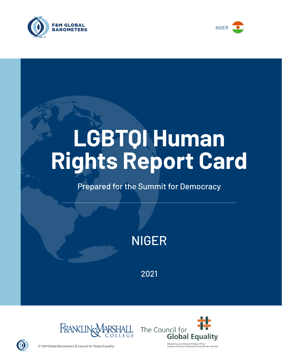



# **LGBTQI Human Rights Report Card**

# Prepared for the Summit for Democracy

NIGER

2021





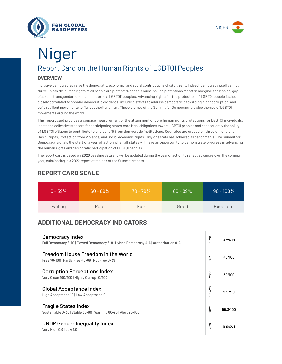



# Report Card on the Human Rights of LGBTQI Peoples **OVERVIEW** Niger

Inclusive democracies value the democratic, economic, and social contributions of *all* citizens. Indeed, democracy itself cannot thrive unless the human rights of all people are protected, and this must include protections for often marginalized lesbian, gay, bisexual, transgender, queer, and intersex (LGBTQI) peoples. Advancing rights for the protection of LGBTQI people is also closely correlated to broader democratic dividends, including efforts to address democratic backsliding, fight corruption, and build resilient movements to fight authoritarianism. These themes of the Summit for Democracy are also themes of LGBTQI movements around the world.

This report card provides a concise measurement of the attainment of core human rights protections for LGBTQI individuals. It sets the collective standard for participating states' core legal obligations toward LGBTQI peoples and consequently the ability of LGBTQI citizens to contribute to and benefit from democratic institutions. Countries are graded on three dimensions: Basic Rights, Protection from Violence, and Socio-economic rights. Only one state has achieved all benchmarks. The Summit for Democracy signals the start of a year of action when all states will have an opportunity to demonstrate progress in advancing the human rights and democratic participation of LGBTQI peoples.

The report card is based on **2020** baseline data and will be updated during the year of action to reflect advances over the coming year, culminating in a 2022 report at the end of the Summit process.

| $0 - 59\%$ | $60 - 69\%$ | $70 - 79\%$ | $80 - 89\%$ | $90 - 100\%$ |
|------------|-------------|-------------|-------------|--------------|
| Failing    | Poor        | Fair        | Good        | Excellent    |

### **REPORT CARD SCALE**

## **ADDITIONAL DEMOCRACY INDICATORS**

| Democracy Index<br>Full Democracy 8-10   Flawed Democracy 6-8   Hybrid Democracy 4-6   Authoritarian 0-4 | 2020                | 3.29/10  |
|----------------------------------------------------------------------------------------------------------|---------------------|----------|
| Freedom House Freedom in the World<br>Free 70-100   Partly Free 40-69   Not Free 0-39                    | 2020                | 48/100   |
| <b>Corruption Perceptions Index</b><br>Very Clean 100/100   Highly Corrupt 0/100                         | 020<br>$\sim$       | 32/100   |
| <b>Global Acceptance Index</b><br>High Acceptance 10   Low Acceptance 0                                  |                     | 2.97/10  |
| <b>Fragile States Index</b><br>Sustainable 0-30   Stable 30-60   Warning 60-90   Alert 90-100            | 020<br>$\bar{\sim}$ | 95.3/100 |
| <b>UNDP Gender Inequality Index</b><br>Very High 0.0   Low 1.0                                           |                     | 0.642/1  |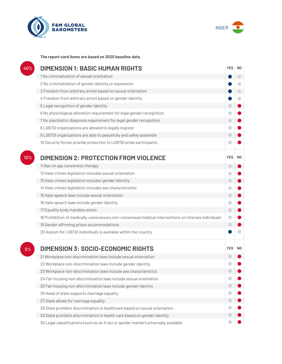



**The report card items are based on 2020 baseline data.**

| 40% | <b>DIMENSION 1: BASIC HUMAN RIGHTS</b>                                                               |                          |                          |
|-----|------------------------------------------------------------------------------------------------------|--------------------------|--------------------------|
|     | 1 No criminalization of sexual orientation                                                           |                          | $\overline{\phantom{0}}$ |
|     | 2 No criminalization of gender identity or expression                                                |                          | O                        |
|     | 3 Freedom from arbitrary arrest based on sexual orientation                                          |                          | $\bigcirc$               |
|     | 4 Freedom from arbitrary arrest based on gender identity                                             |                          | $\Box$                   |
|     | 5 Legal recognition of gender identity                                                               | $\bigcirc$               |                          |
|     | 6 No physiological alteration requirement for legal gender recognition                               | $\blacksquare$           |                          |
|     | 7 No psychiatric diagnosis requirement for legal gender recognition                                  | $\bigcirc$               |                          |
|     | 8 LGBTQI organizations are allowed to legally register                                               | O                        |                          |
|     | 9 LGBTQI organizations are able to peacefully and safely assemble                                    | $\bigcirc$               |                          |
|     | 10 Security forces provide protection to LGBTQI pride participants                                   |                          |                          |
| 10% | <b>DIMENSION 2: PROTECTION FROM VIOLENCE</b>                                                         | <b>YES</b>               | N <sub>0</sub>           |
|     | 11 Ban on gay conversion therapy                                                                     | $\bigcirc$               |                          |
|     | 12 Hate crimes legislation includes sexual orientation                                               | ۰                        |                          |
|     | 13 Hate crimes legislation includes gender identity                                                  | $\Box$                   |                          |
|     | 14 Hate crimes legislation includes sex characteristics                                              | 0                        |                          |
|     | 15 Hate speech laws include sexual orientation                                                       | $\bigcirc$               |                          |
|     | 16 Hate speech laws include gender identity                                                          | $\bullet$                |                          |
|     | 17 Equality body mandate exists                                                                      | $\bigcirc$               |                          |
|     | 18 Prohibition of medically-unnecessary non-consensual medical interventions on intersex individuals | $\bullet$                |                          |
|     | 19 Gender affirming prison accommodations                                                            | $\Box$                   |                          |
|     | 20 Asylum for LGBTQI individuals is available within the country                                     |                          |                          |
| 0%  | <b>DIMENSION 3: SOCIO-ECONOMIC RIGHTS</b>                                                            | <b>YES</b>               | N <sub>0</sub>           |
|     | 21 Workplace non-discrimination laws include sexual orientation                                      |                          |                          |
|     | 22 Workplace non-discrimination laws include gender identity                                         |                          |                          |
|     | 23 Workplace non-discrimination laws include sex characteristics                                     |                          |                          |
|     | 24 Fair housing non-discrimination laws include sexual orientation                                   |                          |                          |
|     | 25 Fair housing non-discrimination laws include gender identity                                      | $\overline{\phantom{0}}$ |                          |
|     | 26 Head of state supports marriage equality                                                          |                          |                          |
|     | 27 State allows for marriage equality                                                                | $\bigcirc$               |                          |
|     | 28 State prohibits discrimination in healthcare based on sexual orientation                          |                          |                          |
|     | 29 State prohibits discrimination in health care based on gender identity                            |                          |                          |
|     |                                                                                                      |                          |                          |